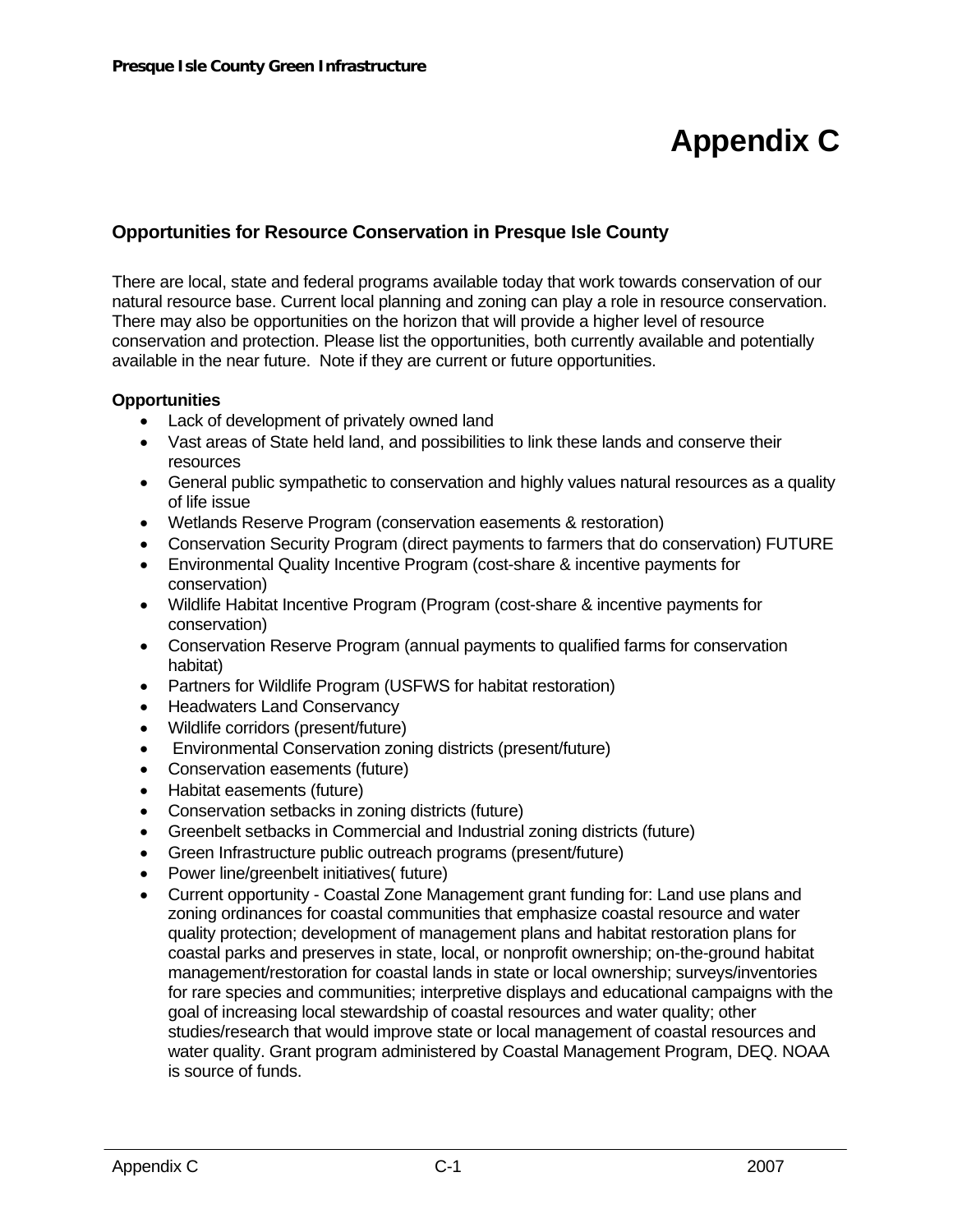# **Appendix C**

## **Opportunities for Resource Conservation in Presque Isle County**

There are local, state and federal programs available today that work towards conservation of our natural resource base. Current local planning and zoning can play a role in resource conservation. There may also be opportunities on the horizon that will provide a higher level of resource conservation and protection. Please list the opportunities, both currently available and potentially available in the near future. Note if they are current or future opportunities.

#### **Opportunities**

- Lack of development of privately owned land
- Vast areas of State held land, and possibilities to link these lands and conserve their resources
- General public sympathetic to conservation and highly values natural resources as a quality of life issue
- Wetlands Reserve Program (conservation easements & restoration)
- Conservation Security Program (direct payments to farmers that do conservation) FUTURE
- Environmental Quality Incentive Program (cost-share & incentive payments for conservation)
- Wildlife Habitat Incentive Program (Program (cost-share & incentive payments for conservation)
- Conservation Reserve Program (annual payments to qualified farms for conservation habitat)
- Partners for Wildlife Program (USFWS for habitat restoration)
- Headwaters Land Conservancy
- Wildlife corridors (present/future)
- Environmental Conservation zoning districts (present/future)
- Conservation easements (future)
- Habitat easements (future)
- Conservation setbacks in zoning districts (future)
- Greenbelt setbacks in Commercial and Industrial zoning districts (future)
- Green Infrastructure public outreach programs (present/future)
- Power line/greenbelt initiatives( future)
- Current opportunity Coastal Zone Management grant funding for: Land use plans and zoning ordinances for coastal communities that emphasize coastal resource and water quality protection; development of management plans and habitat restoration plans for coastal parks and preserves in state, local, or nonprofit ownership; on-the-ground habitat management/restoration for coastal lands in state or local ownership; surveys/inventories for rare species and communities; interpretive displays and educational campaigns with the goal of increasing local stewardship of coastal resources and water quality; other studies/research that would improve state or local management of coastal resources and water quality. Grant program administered by Coastal Management Program, DEQ. NOAA is source of funds.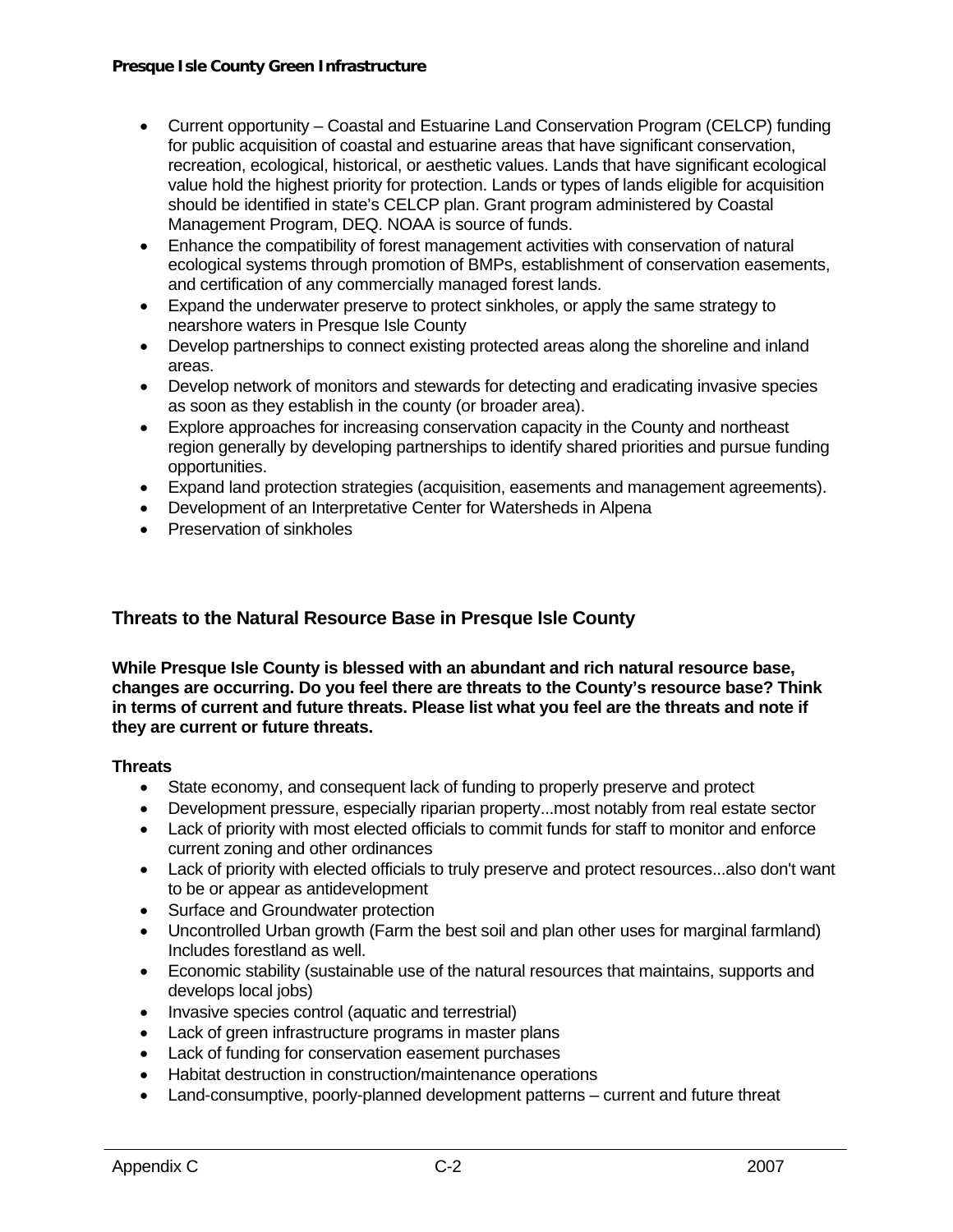- Current opportunity Coastal and Estuarine Land Conservation Program (CELCP) funding for public acquisition of coastal and estuarine areas that have significant conservation, recreation, ecological, historical, or aesthetic values. Lands that have significant ecological value hold the highest priority for protection. Lands or types of lands eligible for acquisition should be identified in state's CELCP plan. Grant program administered by Coastal Management Program, DEQ. NOAA is source of funds.
- Enhance the compatibility of forest management activities with conservation of natural ecological systems through promotion of BMPs, establishment of conservation easements, and certification of any commercially managed forest lands.
- Expand the underwater preserve to protect sinkholes, or apply the same strategy to nearshore waters in Presque Isle County
- Develop partnerships to connect existing protected areas along the shoreline and inland areas.
- Develop network of monitors and stewards for detecting and eradicating invasive species as soon as they establish in the county (or broader area).
- Explore approaches for increasing conservation capacity in the County and northeast region generally by developing partnerships to identify shared priorities and pursue funding opportunities.
- Expand land protection strategies (acquisition, easements and management agreements).
- Development of an Interpretative Center for Watersheds in Alpena
- Preservation of sinkholes

## **Threats to the Natural Resource Base in Presque Isle County**

**While Presque Isle County is blessed with an abundant and rich natural resource base, changes are occurring. Do you feel there are threats to the County's resource base? Think in terms of current and future threats. Please list what you feel are the threats and note if they are current or future threats.** 

#### **Threats**

- State economy, and consequent lack of funding to properly preserve and protect
- Development pressure, especially riparian property...most notably from real estate sector
- Lack of priority with most elected officials to commit funds for staff to monitor and enforce current zoning and other ordinances
- Lack of priority with elected officials to truly preserve and protect resources...also don't want to be or appear as antidevelopment
- Surface and Groundwater protection
- Uncontrolled Urban growth (Farm the best soil and plan other uses for marginal farmland) Includes forestland as well.
- Economic stability (sustainable use of the natural resources that maintains, supports and develops local jobs)
- Invasive species control (aquatic and terrestrial)
- Lack of green infrastructure programs in master plans
- Lack of funding for conservation easement purchases
- Habitat destruction in construction/maintenance operations
- Land-consumptive, poorly-planned development patterns current and future threat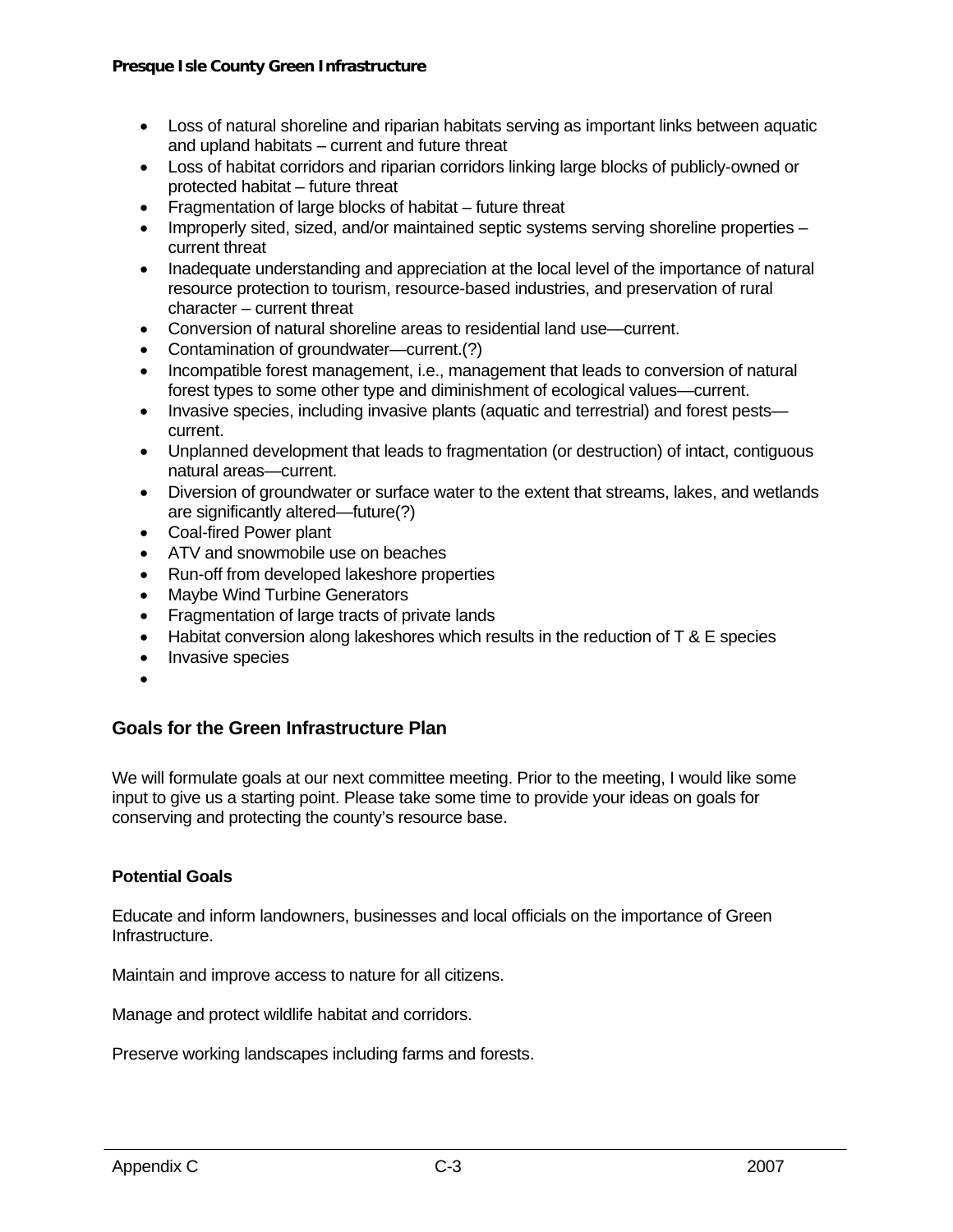- Loss of natural shoreline and riparian habitats serving as important links between aquatic and upland habitats – current and future threat
- Loss of habitat corridors and riparian corridors linking large blocks of publicly-owned or protected habitat – future threat
- Fragmentation of large blocks of habitat future threat
- Improperly sited, sized, and/or maintained septic systems serving shoreline properties current threat
- Inadequate understanding and appreciation at the local level of the importance of natural resource protection to tourism, resource-based industries, and preservation of rural character – current threat
- Conversion of natural shoreline areas to residential land use—current.
- Contamination of groundwater—current.(?)
- Incompatible forest management, i.e., management that leads to conversion of natural forest types to some other type and diminishment of ecological values—current.
- Invasive species, including invasive plants (aquatic and terrestrial) and forest pests current.
- Unplanned development that leads to fragmentation (or destruction) of intact, contiguous natural areas—current.
- Diversion of groundwater or surface water to the extent that streams, lakes, and wetlands are significantly altered—future(?)
- Coal-fired Power plant
- ATV and snowmobile use on beaches
- Run-off from developed lakeshore properties
- Maybe Wind Turbine Generators
- Fragmentation of large tracts of private lands
- Habitat conversion along lakeshores which results in the reduction of T & E species
- Invasive species
- •

## **Goals for the Green Infrastructure Plan**

We will formulate goals at our next committee meeting. Prior to the meeting, I would like some input to give us a starting point. Please take some time to provide your ideas on goals for conserving and protecting the county's resource base.

#### **Potential Goals**

Educate and inform landowners, businesses and local officials on the importance of Green Infrastructure.

Maintain and improve access to nature for all citizens.

Manage and protect wildlife habitat and corridors.

Preserve working landscapes including farms and forests.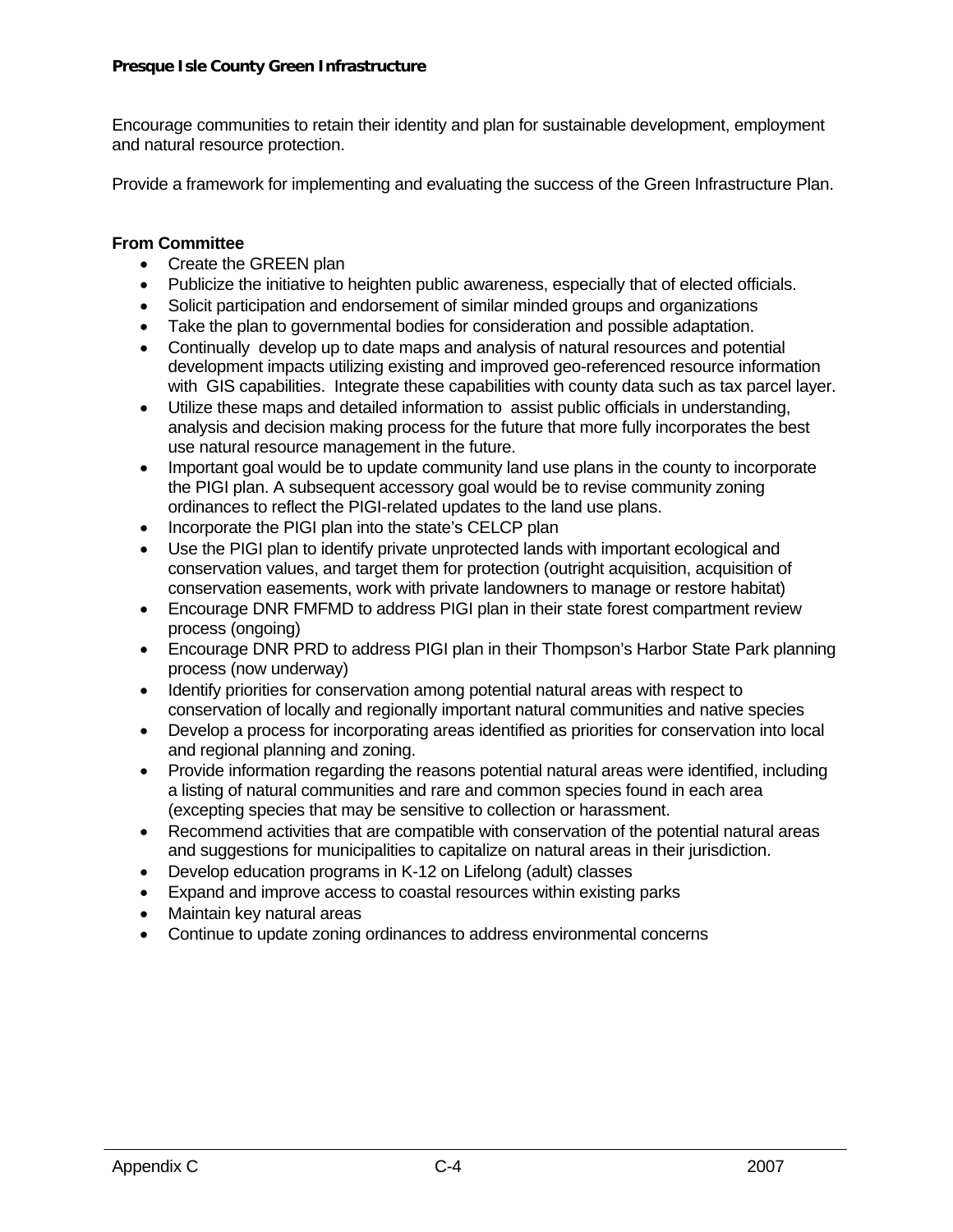Encourage communities to retain their identity and plan for sustainable development, employment and natural resource protection.

Provide a framework for implementing and evaluating the success of the Green Infrastructure Plan.

### **From Committee**

- Create the GREEN plan
- Publicize the initiative to heighten public awareness, especially that of elected officials.
- Solicit participation and endorsement of similar minded groups and organizations
- Take the plan to governmental bodies for consideration and possible adaptation.
- Continually develop up to date maps and analysis of natural resources and potential development impacts utilizing existing and improved geo-referenced resource information with GIS capabilities. Integrate these capabilities with county data such as tax parcel layer.
- Utilize these maps and detailed information to assist public officials in understanding, analysis and decision making process for the future that more fully incorporates the best use natural resource management in the future.
- Important goal would be to update community land use plans in the county to incorporate the PIGI plan. A subsequent accessory goal would be to revise community zoning ordinances to reflect the PIGI-related updates to the land use plans.
- Incorporate the PIGI plan into the state's CELCP plan
- Use the PIGI plan to identify private unprotected lands with important ecological and conservation values, and target them for protection (outright acquisition, acquisition of conservation easements, work with private landowners to manage or restore habitat)
- Encourage DNR FMFMD to address PIGI plan in their state forest compartment review process (ongoing)
- Encourage DNR PRD to address PIGI plan in their Thompson's Harbor State Park planning process (now underway)
- Identify priorities for conservation among potential natural areas with respect to conservation of locally and regionally important natural communities and native species
- Develop a process for incorporating areas identified as priorities for conservation into local and regional planning and zoning.
- Provide information regarding the reasons potential natural areas were identified, including a listing of natural communities and rare and common species found in each area (excepting species that may be sensitive to collection or harassment.
- Recommend activities that are compatible with conservation of the potential natural areas and suggestions for municipalities to capitalize on natural areas in their jurisdiction.
- Develop education programs in K-12 on Lifelong (adult) classes
- Expand and improve access to coastal resources within existing parks
- Maintain key natural areas
- Continue to update zoning ordinances to address environmental concerns